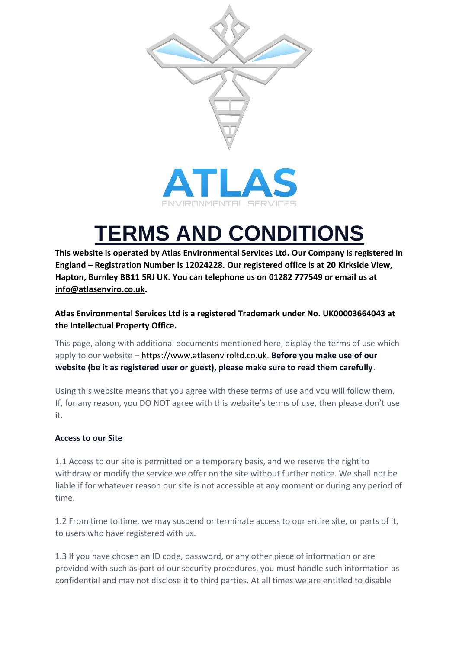



# **TERMS AND CONDITIONS**

**This website is operated by Atlas Environmental Services Ltd. Our Company is registered in England – Registration Number is 12024228. Our registered office is at 20 Kirkside View, Hapton, Burnley BB11 5RJ UK. You can telephone us on 01282 777549 or email us at info@atlasenviro.co.uk.** 

# **Atlas Environmental Services Ltd is a registered Trademark under No. UK00003664043 at the Intellectual Property Office.**

This page, along with additional documents mentioned here, display the terms of use which apply to our website [–](https://www.atlasenviroltd.co.uk/) [https://www.atlasenviroltd.co.uk.](https://www.atlasenviroltd.co.uk/) **Before you make use of our website (be it as registered user or guest), please make sure to read them carefully**.

Using this website means that you agree with these terms of use and you will follow them. If, for any reason, you DO NOT agree with this website's terms of use, then please don't use it.

# **Access to our Site**

1.1 Access to our site is permitted on a temporary basis, and we reserve the right to withdraw or modify the service we offer on the site without further notice. We shall not be liable if for whatever reason our site is not accessible at any moment or during any period of time.

1.2 From time to time, we may suspend or terminate access to our entire site, or parts of it, to users who have registered with us.

1.3 If you have chosen an ID code, password, or any other piece of information or are provided with such as part of our security procedures, you must handle such information as confidential and may not disclose it to third parties. At all times we are entitled to disable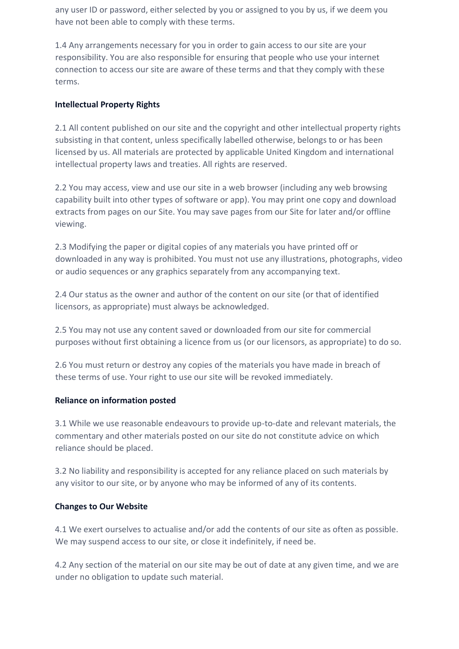any user ID or password, either selected by you or assigned to you by us, if we deem you have not been able to comply with these terms.

1.4 Any arrangements necessary for you in order to gain access to our site are your responsibility. You are also responsible for ensuring that people who use your internet connection to access our site are aware of these terms and that they comply with these terms.

## **Intellectual Property Rights**

2.1 All content published on our site and the copyright and other intellectual property rights subsisting in that content, unless specifically labelled otherwise, belongs to or has been licensed by us. All materials are protected by applicable United Kingdom and international intellectual property laws and treaties. All rights are reserved.

2.2 You may access, view and use our site in a web browser (including any web browsing capability built into other types of software or app). You may print one copy and download extracts from pages on our Site. You may save pages from our Site for later and/or offline viewing.

2.3 Modifying the paper or digital copies of any materials you have printed off or downloaded in any way is prohibited. You must not use any illustrations, photographs, video or audio sequences or any graphics separately from any accompanying text.

2.4 Our status as the owner and author of the content on our site (or that of identified licensors, as appropriate) must always be acknowledged.

2.5 You may not use any content saved or downloaded from our site for commercial purposes without first obtaining a licence from us (or our licensors, as appropriate) to do so.

2.6 You must return or destroy any copies of the materials you have made in breach of these terms of use. Your right to use our site will be revoked immediately.

## **Reliance on information posted**

3.1 While we use reasonable endeavours to provide up-to-date and relevant materials, the commentary and other materials posted on our site do not constitute advice on which reliance should be placed.

3.2 No liability and responsibility is accepted for any reliance placed on such materials by any visitor to our site, or by anyone who may be informed of any of its contents.

## **Changes to Our Website**

4.1 We exert ourselves to actualise and/or add the contents of our site as often as possible. We may suspend access to our site, or close it indefinitely, if need be.

4.2 Any section of the material on our site may be out of date at any given time, and we are under no obligation to update such material.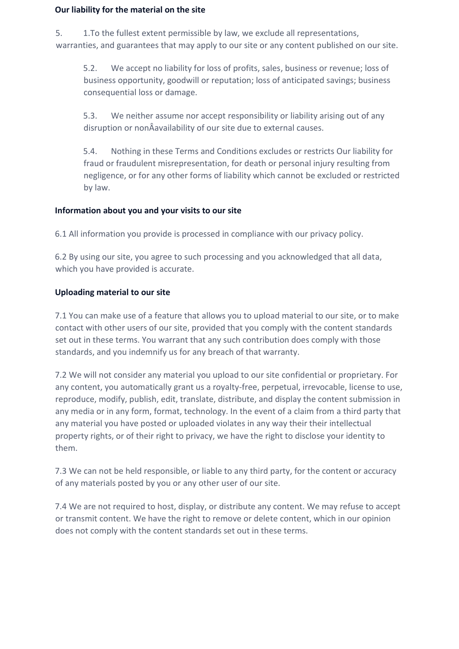#### **Our liability for the material on the site**

5. 1.To the fullest extent permissible by law, we exclude all representations, warranties, and guarantees that may apply to our site or any content published on our site.

5.2. We accept no liability for loss of profits, sales, business or revenue; loss of business opportunity, goodwill or reputation; loss of anticipated savings; business consequential loss or damage.

5.3. We neither assume nor accept responsibility or liability arising out of any disruption or nonÂavailability of our site due to external causes.

5.4. Nothing in these Terms and Conditions excludes or restricts Our liability for fraud or fraudulent misrepresentation, for death or personal injury resulting from negligence, or for any other forms of liability which cannot be excluded or restricted by law.

#### **Information about you and your visits to our site**

6.1 All information you provide is processed in compliance with our privacy policy.

6.2 By using our site, you agree to such processing and you acknowledged that all data, which you have provided is accurate.

#### **Uploading material to our site**

7.1 You can make use of a feature that allows you to upload material to our site, or to make contact with other users of our site, provided that you comply with the content standards set out in these terms. You warrant that any such contribution does comply with those standards, and you indemnify us for any breach of that warranty.

7.2 We will not consider any material you upload to our site confidential or proprietary. For any content, you automatically grant us a royalty-free, perpetual, irrevocable, license to use, reproduce, modify, publish, edit, translate, distribute, and display the content submission in any media or in any form, format, technology. In the event of a claim from a third party that any material you have posted or uploaded violates in any way their their intellectual property rights, or of their right to privacy, we have the right to disclose your identity to them.

7.3 We can not be held responsible, or liable to any third party, for the content or accuracy of any materials posted by you or any other user of our site.

7.4 We are not required to host, display, or distribute any content. We may refuse to accept or transmit content. We have the right to remove or delete content, which in our opinion does not comply with the content standards set out in these terms.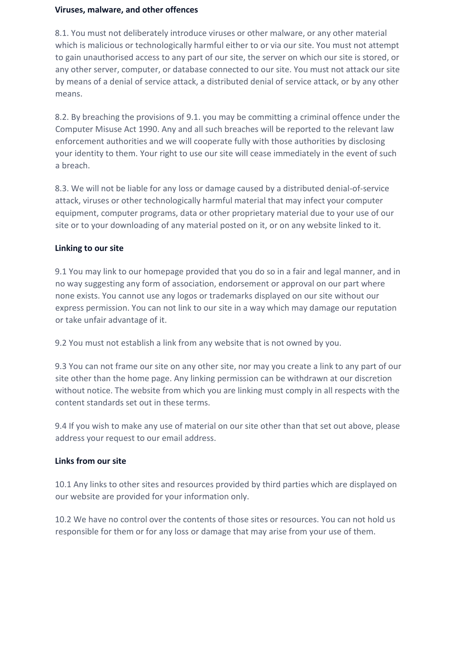#### **Viruses, malware, and other offences**

8.1. You must not deliberately introduce viruses or other malware, or any other material which is malicious or technologically harmful either to or via our site. You must not attempt to gain unauthorised access to any part of our site, the server on which our site is stored, or any other server, computer, or database connected to our site. You must not attack our site by means of a denial of service attack, a distributed denial of service attack, or by any other means.

8.2. By breaching the provisions of 9.1. you may be committing a criminal offence under the Computer Misuse Act 1990. Any and all such breaches will be reported to the relevant law enforcement authorities and we will cooperate fully with those authorities by disclosing your identity to them. Your right to use our site will cease immediately in the event of such a breach.

8.3. We will not be liable for any loss or damage caused by a distributed denial-of-service attack, viruses or other technologically harmful material that may infect your computer equipment, computer programs, data or other proprietary material due to your use of our site or to your downloading of any material posted on it, or on any website linked to it.

## **Linking to our site**

9.1 You may link to our homepage provided that you do so in a fair and legal manner, and in no way suggesting any form of association, endorsement or approval on our part where none exists. You cannot use any logos or trademarks displayed on our site without our express permission. You can not link to our site in a way which may damage our reputation or take unfair advantage of it.

9.2 You must not establish a link from any website that is not owned by you.

9.3 You can not frame our site on any other site, nor may you create a link to any part of our site other than the home page. Any linking permission can be withdrawn at our discretion without notice. The website from which you are linking must comply in all respects with the content standards set out in these terms.

9.4 If you wish to make any use of material on our site other than that set out above, please address your request to our email address.

# **Links from our site**

10.1 Any links to other sites and resources provided by third parties which are displayed on our website are provided for your information only.

10.2 We have no control over the contents of those sites or resources. You can not hold us responsible for them or for any loss or damage that may arise from your use of them.